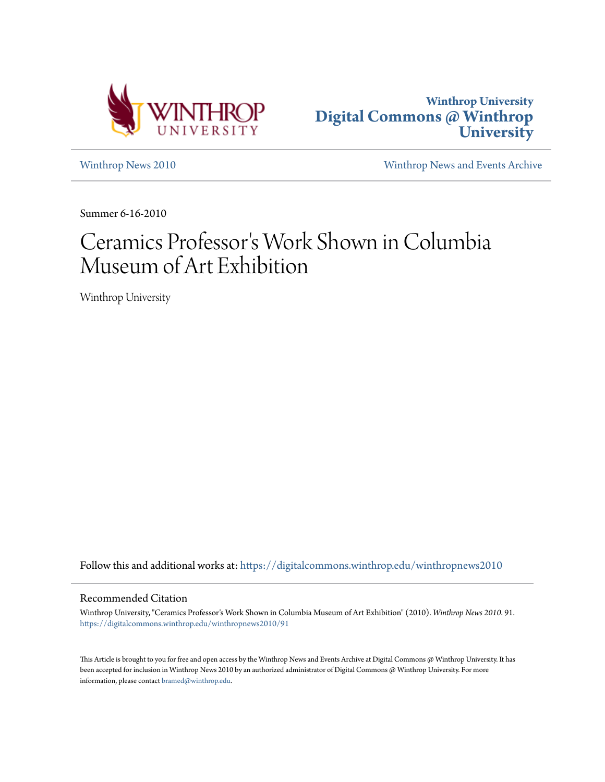



[Winthrop News 2010](https://digitalcommons.winthrop.edu/winthropnews2010?utm_source=digitalcommons.winthrop.edu%2Fwinthropnews2010%2F91&utm_medium=PDF&utm_campaign=PDFCoverPages) [Winthrop News and Events Archive](https://digitalcommons.winthrop.edu/winthropnewsarchives?utm_source=digitalcommons.winthrop.edu%2Fwinthropnews2010%2F91&utm_medium=PDF&utm_campaign=PDFCoverPages)

Summer 6-16-2010

## Ceramics Professor 's Work Shown in Columbia Museum of Art Exhibition

Winthrop University

Follow this and additional works at: [https://digitalcommons.winthrop.edu/winthropnews2010](https://digitalcommons.winthrop.edu/winthropnews2010?utm_source=digitalcommons.winthrop.edu%2Fwinthropnews2010%2F91&utm_medium=PDF&utm_campaign=PDFCoverPages)

## Recommended Citation

Winthrop University, "Ceramics Professor's Work Shown in Columbia Museum of Art Exhibition" (2010). *Winthrop News 2010*. 91. [https://digitalcommons.winthrop.edu/winthropnews2010/91](https://digitalcommons.winthrop.edu/winthropnews2010/91?utm_source=digitalcommons.winthrop.edu%2Fwinthropnews2010%2F91&utm_medium=PDF&utm_campaign=PDFCoverPages)

This Article is brought to you for free and open access by the Winthrop News and Events Archive at Digital Commons @ Winthrop University. It has been accepted for inclusion in Winthrop News 2010 by an authorized administrator of Digital Commons @ Winthrop University. For more information, please contact [bramed@winthrop.edu](mailto:bramed@winthrop.edu).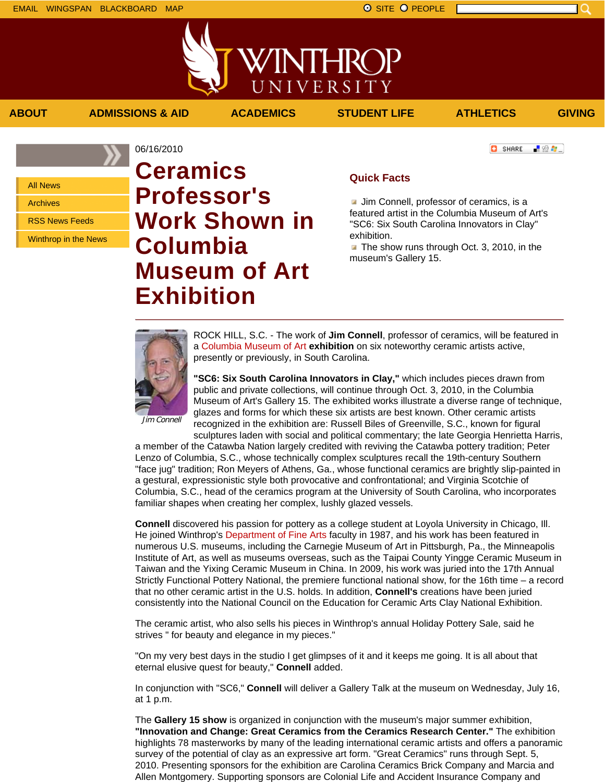上没有。

**C** SHARE

All News

Archives

RSS News Feeds

Winthrop in the News

## 06/16/2010 **Ceramics Professor's Work Shown in Columbia Museum of Art Exhibition**

## **Quick Facts**

**ABOUT ADMISSIONS & AID ACADEMICS STUDENT LIFE ATHLETICS GIVING**

VINTHROP

UNIVERSITY

**Jim Connell, professor of ceramics, is a** featured artist in the Columbia Museum of Art's "SC6: Six South Carolina Innovators in Clay" exhibition.

The show runs through Oct. 3, 2010, in the museum's Gallery 15.



ROCK HILL, S.C. - The work of **Jim Connell**, professor of ceramics, will be featured in a Columbia Museum of Art **exhibition** on six noteworthy ceramic artists active, presently or previously, in South Carolina.

**"SC6: Six South Carolina Innovators in Clay,"** which includes pieces drawn from public and private collections, will continue through Oct. 3, 2010, in the Columbia Museum of Art's Gallery 15. The exhibited works illustrate a diverse range of technique, glazes and forms for which these six artists are best known. Other ceramic artists recognized in the exhibition are: Russell Biles of Greenville, S.C., known for figural

Jim Connell

sculptures laden with social and political commentary; the late Georgia Henrietta Harris, a member of the Catawba Nation largely credited with reviving the Catawba pottery tradition; Peter Lenzo of Columbia, S.C., whose technically complex sculptures recall the 19th-century Southern "face jug" tradition; Ron Meyers of Athens, Ga., whose functional ceramics are brightly slip-painted in a gestural, expressionistic style both provocative and confrontational; and Virginia Scotchie of Columbia, S.C., head of the ceramics program at the University of South Carolina, who incorporates familiar shapes when creating her complex, lushly glazed vessels.

**Connell** discovered his passion for pottery as a college student at Loyola University in Chicago, Ill. He joined Winthrop's Department of Fine Arts faculty in 1987, and his work has been featured in numerous U.S. museums, including the Carnegie Museum of Art in Pittsburgh, Pa., the Minneapolis Institute of Art, as well as museums overseas, such as the Taipai County Yingge Ceramic Museum in Taiwan and the Yixing Ceramic Museum in China. In 2009, his work was juried into the 17th Annual Strictly Functional Pottery National, the premiere functional national show, for the 16th time – a record that no other ceramic artist in the U.S. holds. In addition, **Connell's** creations have been juried consistently into the National Council on the Education for Ceramic Arts Clay National Exhibition.

The ceramic artist, who also sells his pieces in Winthrop's annual Holiday Pottery Sale, said he strives " for beauty and elegance in my pieces."

"On my very best days in the studio I get glimpses of it and it keeps me going. It is all about that eternal elusive quest for beauty," **Connell** added.

In conjunction with "SC6," **Connell** will deliver a Gallery Talk at the museum on Wednesday, July 16, at 1 p.m.

The **Gallery 15 show** is organized in conjunction with the museum's major summer exhibition, **"Innovation and Change: Great Ceramics from the Ceramics Research Center."** The exhibition highlights 78 masterworks by many of the leading international ceramic artists and offers a panoramic survey of the potential of clay as an expressive art form. "Great Ceramics" runs through Sept. 5, 2010. Presenting sponsors for the exhibition are Carolina Ceramics Brick Company and Marcia and Allen Montgomery. Supporting sponsors are Colonial Life and Accident Insurance Company and